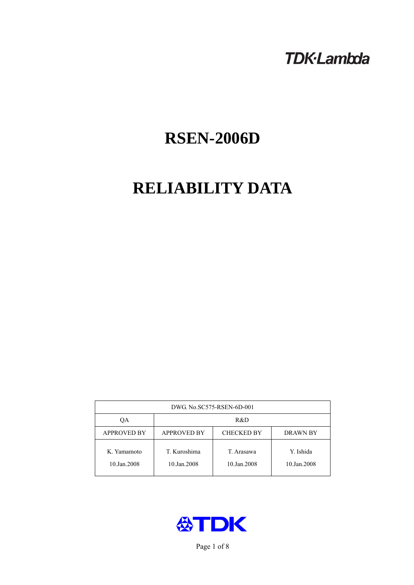# **TDK-Lambda**

# **RSEN-2006D**

# **RELIABILITY DATA**

| DWG No.SC575-RSEN-6D-001   |                                                            |                           |                          |  |  |
|----------------------------|------------------------------------------------------------|---------------------------|--------------------------|--|--|
| ОA                         | R&D                                                        |                           |                          |  |  |
| <b>APPROVED BY</b>         | <b>APPROVED BY</b><br><b>CHECKED BY</b><br><b>DRAWN BY</b> |                           |                          |  |  |
| K. Yamamoto<br>10.Jan.2008 | T. Kuroshima<br>10.Jan.2008                                | T. Arasawa<br>10.Jan.2008 | Y. Ishida<br>10.Jan.2008 |  |  |



Page 1 of 8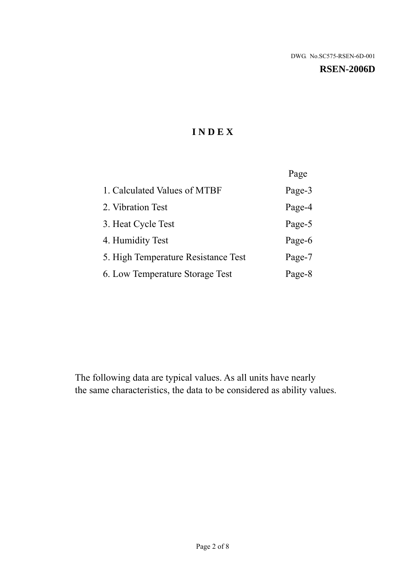#### **RSEN-2006D**

# **I N D E X**

|                                     | Page   |
|-------------------------------------|--------|
| 1. Calculated Values of MTBF        | Page-3 |
| 2. Vibration Test                   | Page-4 |
| 3. Heat Cycle Test                  | Page-5 |
| 4. Humidity Test                    | Page-6 |
| 5. High Temperature Resistance Test | Page-7 |
| 6. Low Temperature Storage Test     | Page-8 |

The following data are typical values. As all units have nearly the same characteristics, the data to be considered as ability values.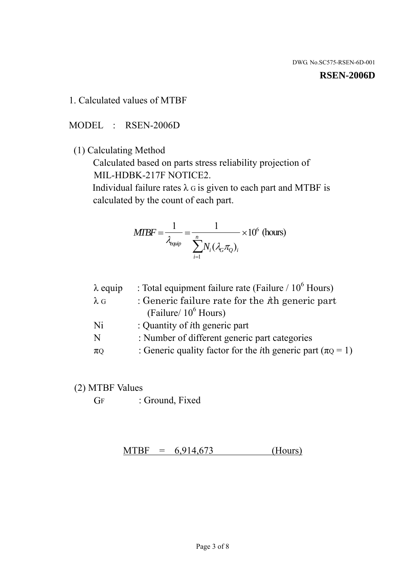#### **RSEN-2006D**

1. Calculated values of MTBF

MODEL : RSEN-2006D

(1) Calculating Method

 Calculated based on parts stress reliability projection of MIL-HDBK-217F NOTICE2.

Individual failure rates  $\lambda$  G is given to each part and MTBF is calculated by the count of each part.

$$
MTBF = \frac{1}{\lambda_{\text{equip}}} = \frac{1}{\sum_{i=1}^{n} N_i (\lambda_G \pi_Q)_i} \times 10^6 \text{ (hours)}
$$

| $\lambda$ equip | : Total equipment failure rate (Failure $/ 10^6$ Hours)                   |
|-----------------|---------------------------------------------------------------------------|
| $\lambda$ G     | : Generic failure rate for the $\hbar$ generic part                       |
|                 | (Failure/ $10^6$ Hours)                                                   |
| Ni              | : Quantity of <i>i</i> th generic part                                    |
| N               | : Number of different generic part categories                             |
| $\pi$ Q         | : Generic quality factor for the <i>i</i> th generic part ( $\pi Q = 1$ ) |

- (2) MTBF Values
	- GF : Ground, Fixed

 $MTBF = 6,914,673$  (Hours)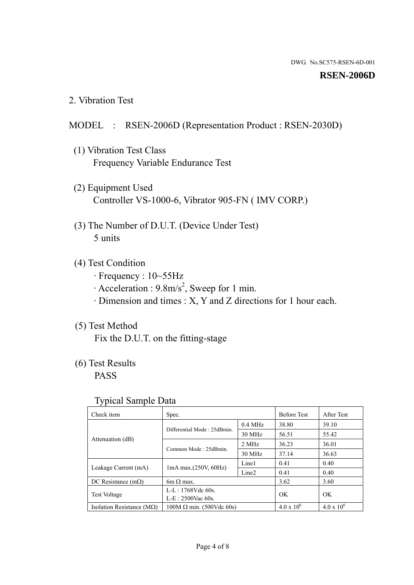#### **RSEN-2006D**

2. Vibration Test

#### MODEL : RSEN-2006D (Representation Product : RSEN-2030D)

- (1) Vibration Test Class Frequency Variable Endurance Test
- (2) Equipment Used Controller VS-1000-6, Vibrator 905-FN ( IMV CORP.)
- (3) The Number of D.U.T. (Device Under Test) 5 units
- (4) Test Condition
	- · Frequency : 10~55Hz
	- $\cdot$  Acceleration : 9.8m/s<sup>2</sup>, Sweep for 1 min.
	- · Dimension and times : X, Y and Z directions for 1 hour each.

### (5) Test Method

Fix the D.U.T. on the fitting-stage

## (6) Test Results

PASS

#### Typical Sample Data

| ັ່                                 |                                 |                   |                     |                     |
|------------------------------------|---------------------------------|-------------------|---------------------|---------------------|
| Check item                         | Spec.                           |                   | <b>Before Test</b>  | After Test          |
|                                    | Differential Mode: 25dBmin.     | $0.4$ MHz         | 38.80               | 39.10               |
|                                    |                                 | 30 MHz            | 56.51               | 55.42               |
| Attenuation (dB)                   | Common Mode: 25dBmin.           | 2 MHz             | 36.23               | 36.01               |
|                                    |                                 | 30 MHz            | 37.14               | 36.63               |
| Leakage Current (mA)               | $1mA$ max. $(250V, 60Hz)$       | Line1             | 0.41                | 0.40                |
|                                    |                                 | Line <sub>2</sub> | 0.41                | 0.40                |
| DC Resistance $(m\Omega)$          | 6m $\Omega$ max.                |                   | 3.62                | 3.60                |
| <b>Test Voltage</b>                | $L-L: 1768Vdc$ 60s.             |                   | OK                  | OK.                 |
|                                    | $L-E$ : 2500Vac 60s.            |                   |                     |                     |
| Isolation Resistance ( $M\Omega$ ) | $100M \Omega$ min. (500Vdc 60s) |                   | $4.0 \times 10^{6}$ | $4.0 \times 10^{6}$ |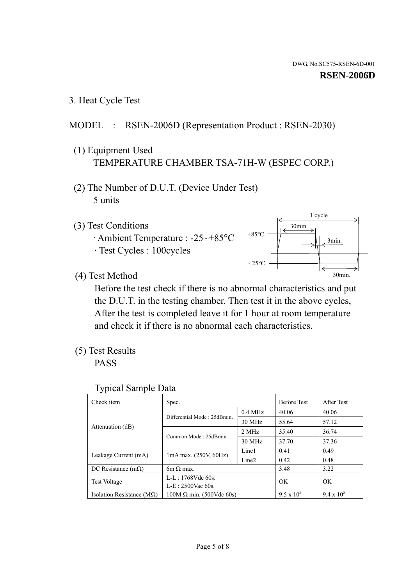3. Heat Cycle Test

### MODEL : RSEN-2006D (Representation Product : RSEN-2030)

- (1) Equipment Used TEMPERATURE CHAMBER TSA-71H-W (ESPEC CORP.)
- (2) The Number of D.U.T. (Device Under Test) 5 units
- (3) Test Conditions
	- · Ambient Temperature : -25~+85°C · Test Cycles : 100cycles



(4) Test Method

 Before the test check if there is no abnormal characteristics and put the D.U.T. in the testing chamber. Then test it in the above cycles, After the test is completed leave it for 1 hour at room temperature and check it if there is no abnormal each characteristics.

(5) Test Results

PASS

| <b>Typical Sample Data</b> |  |  |
|----------------------------|--|--|
|----------------------------|--|--|

| Check item                    | Spec.                                                   |           | <b>Before Test</b> | After Test        |
|-------------------------------|---------------------------------------------------------|-----------|--------------------|-------------------|
|                               |                                                         | $0.4$ MHz | 40.06              | 40.06             |
|                               | Differential Mode: 25dBmin.                             | 30 MHz    | 55.64              | 57.12             |
| Attenuation (dB)              | Common Mode: 25dBmin.                                   | 2 MHz     | 35.40              | 36.74             |
|                               |                                                         | 30 MHz    | 37.70              | 37.36             |
|                               | Line1<br>$1mA$ max. $(250V, 60Hz)$<br>Line <sub>2</sub> |           | 0.41               | 0.49              |
| Leakage Current (mA)          |                                                         |           | 0.42               | 0.48              |
| DC Resistance $(m\Omega)$     | $6m \Omega$ max.                                        |           | 3.48               | 3.22              |
|                               | L-L: $1768V$ de $60s$ .                                 |           | OK                 | OK                |
|                               | <b>Test Voltage</b><br>$L-E: 2500$ Vac 60s.             |           |                    |                   |
| Isolation Resistance ( $MQ$ ) | $100M \Omega$ min. (500Vdc 60s)                         |           | $9.5 \times 10^5$  | $9.4 \times 10^5$ |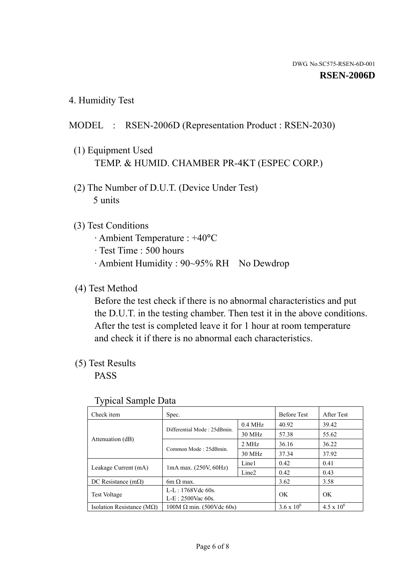4. Humidity Test

### MODEL : RSEN-2006D (Representation Product : RSEN-2030)

- (1) Equipment Used TEMP. & HUMID. CHAMBER PR-4KT (ESPEC CORP.)
- (2) The Number of D.U.T. (Device Under Test) 5 units

#### (3) Test Conditions

- · Ambient Temperature : +40°C
- · Test Time : 500 hours
- · Ambient Humidity : 90~95% RH No Dewdrop

#### (4) Test Method

 Before the test check if there is no abnormal characteristics and put the D.U.T. in the testing chamber. Then test it in the above conditions. After the test is completed leave it for 1 hour at room temperature and check it if there is no abnormal each characteristics.

#### (5) Test Results

PASS

| . .                                |                                 |                   |                     |                     |
|------------------------------------|---------------------------------|-------------------|---------------------|---------------------|
| Check item                         | Spec.                           |                   | <b>Before Test</b>  | After Test          |
|                                    | Differential Mode: 25dBmin.     | $0.4$ MHz         | 40.92               | 39.42               |
|                                    |                                 | 30 MHz            | 57.38               | 55.62               |
| Attenuation (dB)                   | Common Mode: 25dBmin.           | 2 MHz             | 36.16               | 36.22               |
|                                    |                                 | 30 MHz            | 37.34               | 37.92               |
| Leakage Current (mA)               | $1mA$ max. $(250V, 60Hz)$       | Line1             | 0.42                | 0.41                |
|                                    |                                 | Line <sub>2</sub> | 0.42                | 0.43                |
| DC Resistance $(m\Omega)$          | $6m \Omega$ max.                |                   | 3.62                | 3.58                |
| <b>Test Voltage</b>                | $L-L: 1768Vdc$ 60s.             |                   | OK                  | OK                  |
|                                    | $L-E$ : 2500Vac 60s.            |                   |                     |                     |
| Isolation Resistance ( $M\Omega$ ) | $100M \Omega$ min. (500Vdc 60s) |                   | $3.6 \times 10^{6}$ | $4.5 \times 10^{6}$ |

#### Typical Sample Data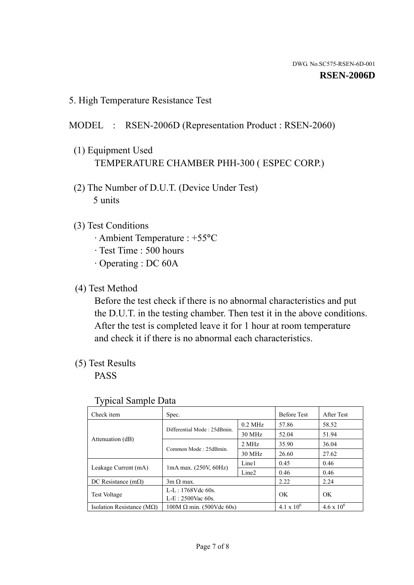5. High Temperature Resistance Test

### MODEL : RSEN-2006D (Representation Product : RSEN-2060)

- (1) Equipment Used TEMPERATURE CHAMBER PHH-300 ( ESPEC CORP.)
- (2) The Number of D.U.T. (Device Under Test) 5 units
- (3) Test Conditions
	- · Ambient Temperature : +55°C
	- · Test Time : 500 hours
	- · Operating : DC 60A
- (4) Test Method

 Before the test check if there is no abnormal characteristics and put the D.U.T. in the testing chamber. Then test it in the above conditions. After the test is completed leave it for 1 hour at room temperature and check it if there is no abnormal each characteristics.

(5) Test Results

PASS

| J 1                                |                                                         |           |                     |                     |
|------------------------------------|---------------------------------------------------------|-----------|---------------------|---------------------|
| Check item                         | Spec.                                                   |           | <b>Before Test</b>  | After Test          |
|                                    | Differential Mode: 25dBmin.                             | $0.2$ MHz | 57.86               | 58.52               |
|                                    |                                                         | 30 MHz    | 52.04               | 51.94               |
| Attenuation (dB)                   | Common Mode: 25dBmin.                                   | 2 MHz     | 35.90               | 36.04               |
|                                    |                                                         | 30 MHz    | 26.60               | 27.62               |
|                                    | Line1<br>$1mA$ max. $(250V, 60Hz)$<br>Line <sub>2</sub> |           | 0.45                | 0.46                |
| Leakage Current (mA)               |                                                         |           | 0.46                | 0.46                |
| DC Resistance $(m\Omega)$          | $3m \Omega$ max.                                        |           | 2.22                | 2.24                |
|                                    | $L-L: 1768Vdc$ 60s.                                     |           | OK                  | OK                  |
| <b>Test Voltage</b>                | $L-E: 2500$ Vac 60s.                                    |           |                     |                     |
| Isolation Resistance ( $M\Omega$ ) | $100M \Omega$ min. (500Vdc 60s)                         |           | $4.1 \times 10^{6}$ | $4.6 \times 10^{6}$ |

#### Typical Sample Data